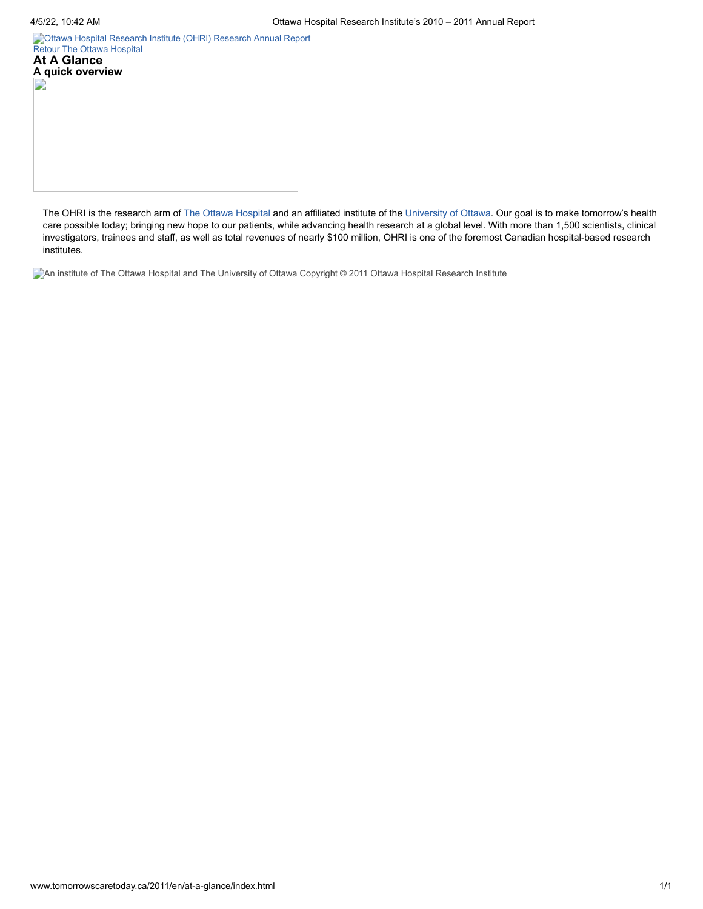[Ottawa Hospital Research Institute \(OHRI\)](http://www.tomorrowscaretoday.ca/2011/en/) [Research Annual Report](http://www.worldclasscare.ca/) [Retour](http://www.tomorrowscaretoday.ca/2011/en/) [The Ottawa Hospital](http://www.tomorrowscaretoday.ca/2011/en/)

**At A Glance A quick overview** D

The OHRI is the research arm of The Ottawa [Hospital](http://www.ottawahospital.on.ca/) and an affiliated institute of the [University](http://www.uottawa.ca/) of Ottawa. Our goal is to make tomorrow's health care possible today; bringing new hope to our patients, while advancing health research at a global level. With more than 1,500 scientists, clinical investigators, trainees and staff, as well as total revenues of nearly \$100 million, OHRI is one of the foremost Canadian hospital-based research institutes.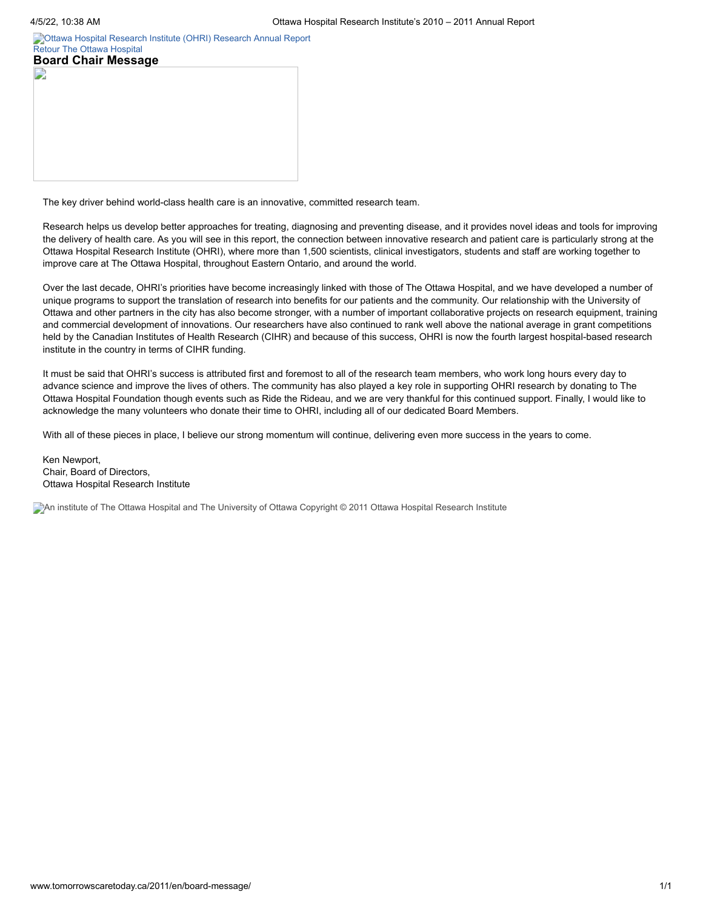[Ottawa Hospital Research Institute \(OHRI\)](http://www.tomorrowscaretoday.ca/2011/en/) [Research Annual Report](http://www.worldclasscare.ca/) [Retour](http://www.tomorrowscaretoday.ca/2011/en/) [The Ottawa Hospital](http://www.tomorrowscaretoday.ca/2011/en/)

| <b>Board Chair Message</b> |  |  |
|----------------------------|--|--|
|                            |  |  |
|                            |  |  |
|                            |  |  |
|                            |  |  |
|                            |  |  |
|                            |  |  |
|                            |  |  |
|                            |  |  |
|                            |  |  |

The key driver behind world-class health care is an innovative, committed research team.

Research helps us develop better approaches for treating, diagnosing and preventing disease, and it provides novel ideas and tools for improving the delivery of health care. As you will see in this report, the connection between innovative research and patient care is particularly strong at the Ottawa Hospital Research Institute (OHRI), where more than 1,500 scientists, clinical investigators, students and staff are working together to improve care at The Ottawa Hospital, throughout Eastern Ontario, and around the world.

Over the last decade, OHRI's priorities have become increasingly linked with those of The Ottawa Hospital, and we have developed a number of unique programs to support the translation of research into benefits for our patients and the community. Our relationship with the University of Ottawa and other partners in the city has also become stronger, with a number of important collaborative projects on research equipment, training and commercial development of innovations. Our researchers have also continued to rank well above the national average in grant competitions held by the Canadian Institutes of Health Research (CIHR) and because of this success, OHRI is now the fourth largest hospital-based research institute in the country in terms of CIHR funding.

It must be said that OHRI's success is attributed first and foremost to all of the research team members, who work long hours every day to advance science and improve the lives of others. The community has also played a key role in supporting OHRI research by donating to The Ottawa Hospital Foundation though events such as Ride the Rideau, and we are very thankful for this continued support. Finally, I would like to acknowledge the many volunteers who donate their time to OHRI, including all of our dedicated Board Members.

With all of these pieces in place, I believe our strong momentum will continue, delivering even more success in the years to come.

Ken Newport, Chair, Board of Directors, Ottawa Hospital Research Institute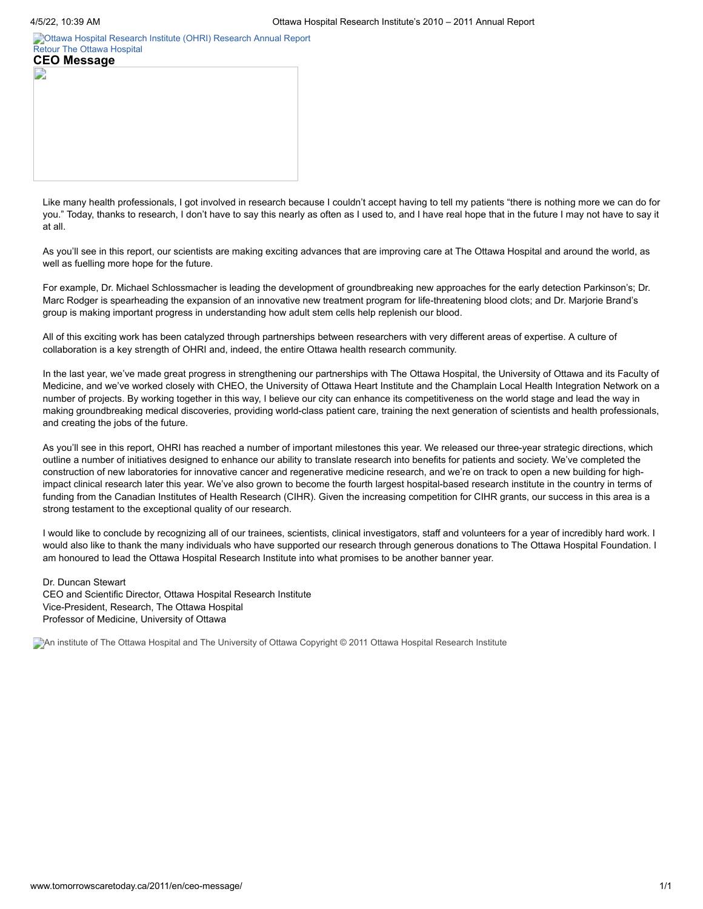[Ottawa Hospital Research Institute \(OHRI\)](http://www.tomorrowscaretoday.ca/2011/en/) [Research Annual Report](http://www.worldclasscare.ca/) [Retour](http://www.tomorrowscaretoday.ca/2011/en/) [The Ottawa Hospital](http://www.tomorrowscaretoday.ca/2011/en/)

| <b>CEO Message</b> |  |  |
|--------------------|--|--|
|                    |  |  |
|                    |  |  |
|                    |  |  |
|                    |  |  |
|                    |  |  |
|                    |  |  |
|                    |  |  |
|                    |  |  |
|                    |  |  |
|                    |  |  |

Like many health professionals, I got involved in research because I couldn't accept having to tell my patients "there is nothing more we can do for you." Today, thanks to research, I don't have to say this nearly as often as I used to, and I have real hope that in the future I may not have to say it at all.

As you'll see in this report, our scientists are making exciting advances that are improving care at The Ottawa Hospital and around the world, as well as fuelling more hope for the future.

For example, Dr. Michael Schlossmacher is leading the development of groundbreaking new approaches for the early detection Parkinson's; Dr. Marc Rodger is spearheading the expansion of an innovative new treatment program for life-threatening blood clots; and Dr. Marjorie Brand's group is making important progress in understanding how adult stem cells help replenish our blood.

All of this exciting work has been catalyzed through partnerships between researchers with very different areas of expertise. A culture of collaboration is a key strength of OHRI and, indeed, the entire Ottawa health research community.

In the last year, we've made great progress in strengthening our partnerships with The Ottawa Hospital, the University of Ottawa and its Faculty of Medicine, and we've worked closely with CHEO, the University of Ottawa Heart Institute and the Champlain Local Health Integration Network on a number of projects. By working together in this way, I believe our city can enhance its competitiveness on the world stage and lead the way in making groundbreaking medical discoveries, providing world-class patient care, training the next generation of scientists and health professionals, and creating the jobs of the future.

As you'll see in this report, OHRI has reached a number of important milestones this year. We released our three-year strategic directions, which outline a number of initiatives designed to enhance our ability to translate research into benefits for patients and society. We've completed the construction of new laboratories for innovative cancer and regenerative medicine research, and we're on track to open a new building for highimpact clinical research later this year. We've also grown to become the fourth largest hospital-based research institute in the country in terms of funding from the Canadian Institutes of Health Research (CIHR). Given the increasing competition for CIHR grants, our success in this area is a strong testament to the exceptional quality of our research.

I would like to conclude by recognizing all of our trainees, scientists, clinical investigators, staff and volunteers for a year of incredibly hard work. I would also like to thank the many individuals who have supported our research through generous donations to The Ottawa Hospital Foundation. I am honoured to lead the Ottawa Hospital Research Institute into what promises to be another banner year.

#### Dr. Duncan Stewart CEO and Scientific Director, Ottawa Hospital Research Institute Vice-President, Research, The Ottawa Hospital Professor of Medicine, University of Ottawa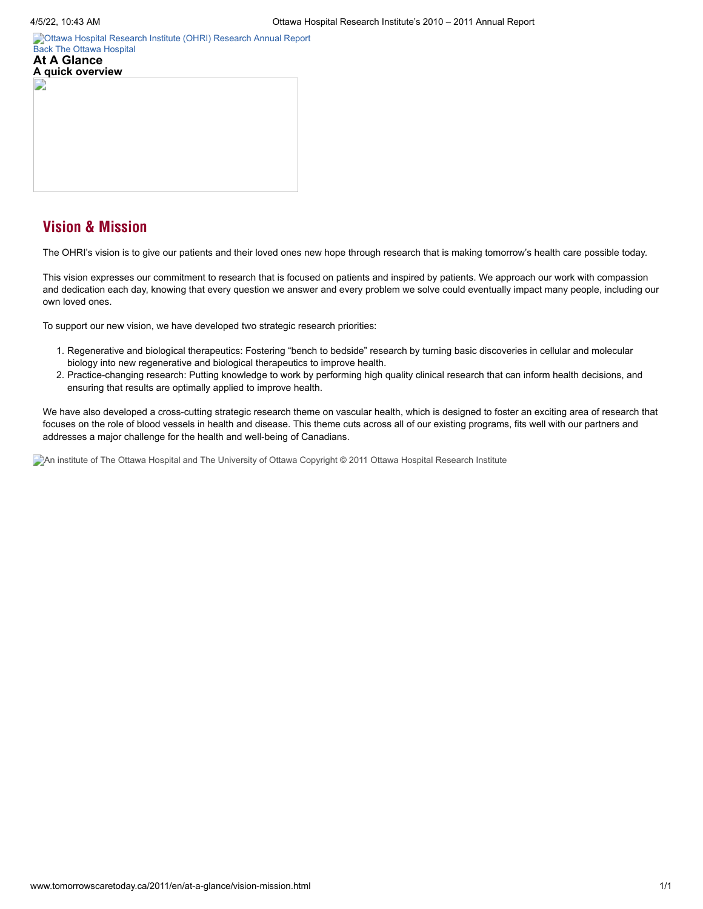**A quick overview**

[Ottawa Hospital Research Institute \(OHRI\)](http://www.tomorrowscaretoday.ca/2011/en/) [Research Annual Report](http://www.worldclasscare.ca/) [Back](http://www.tomorrowscaretoday.ca/2011/en/at-a-glance/mobile.html) [The Ottawa Hospital](http://www.tomorrowscaretoday.ca/2011/en/) **At A Glance**



The OHRI's vision is to give our patients and their loved ones new hope through research that is making tomorrow's health care possible today.

This vision expresses our commitment to research that is focused on patients and inspired by patients. We approach our work with compassion and dedication each day, knowing that every question we answer and every problem we solve could eventually impact many people, including our own loved ones.

To support our new vision, we have developed two strategic research priorities:

- 1. Regenerative and biological therapeutics: Fostering "bench to bedside" research by turning basic discoveries in cellular and molecular biology into new regenerative and biological therapeutics to improve health.
- 2. Practice-changing research: Putting knowledge to work by performing high quality clinical research that can inform health decisions, and ensuring that results are optimally applied to improve health.

We have also developed a cross-cutting strategic research theme on vascular health, which is designed to foster an exciting area of research that focuses on the role of blood vessels in health and disease. This theme cuts across all of our existing programs, fits well with our partners and addresses a major challenge for the health and well-being of Canadians.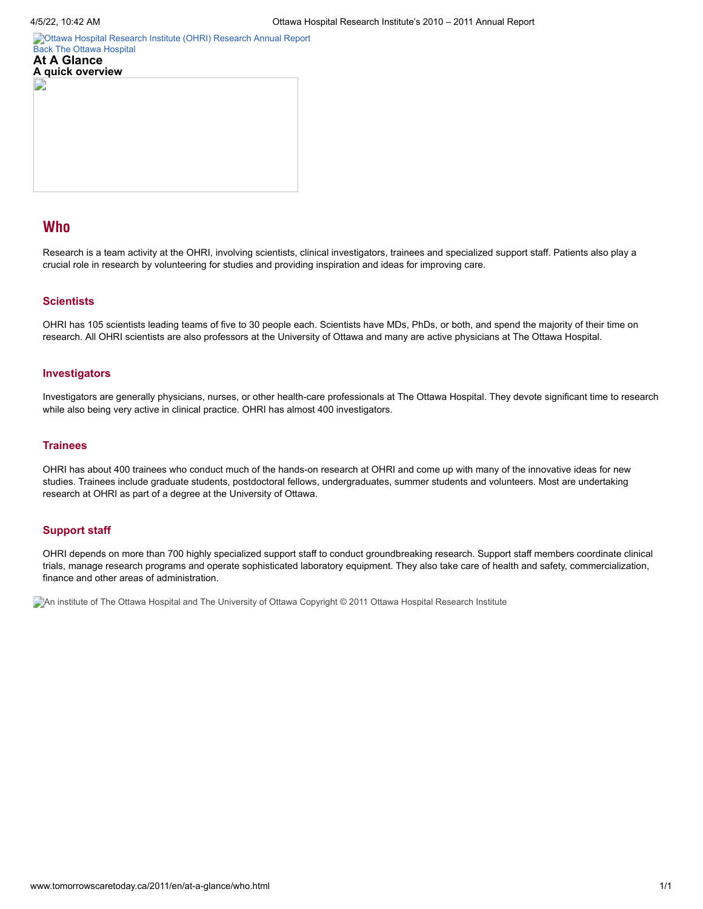[Ottawa Hospital Research Institute \(OHRI\)](http://www.tomorrowscaretoday.ca/2011/en/) [Research Annual Report](http://www.worldclasscare.ca/) [Back](http://www.tomorrowscaretoday.ca/2011/en/at-a-glance/mobile.html) [The Ottawa Hospital](http://www.tomorrowscaretoday.ca/2011/en/) **At A Glance**



# Who

Research is a team activity at the OHRI, involving scientists, clinical investigators, trainees and specialized support staff. Patients also play a crucial role in research by volunteering for studies and providing inspiration and ideas for improving care.

## **Scientists**

OHRI has 105 scientists leading teams of five to 30 people each. Scientists have MDs, PhDs, or both, and spend the majority of their time on research. All OHRI scientists are also professors at the University of Ottawa and many are active physicians at The Ottawa Hospital.

## **Investigators**

Investigators are generally physicians, nurses, or other health-care professionals at The Ottawa Hospital. They devote significant time to research while also being very active in clinical practice. OHRI has almost 400 investigators.

#### **Trainees**

OHRI has about 400 trainees who conduct much of the hands-on research at OHRI and come up with many of the innovative ideas for new studies. Trainees include graduate students, postdoctoral fellows, undergraduates, summer students and volunteers. Most are undertaking research at OHRI as part of a degree at the University of Ottawa.

## **Support staff**

OHRI depends on more than 700 highly specialized support staff to conduct groundbreaking research. Support staff members coordinate clinical trials, manage research programs and operate sophisticated laboratory equipment. They also take care of health and safety, commercialization, finance and other areas of administration.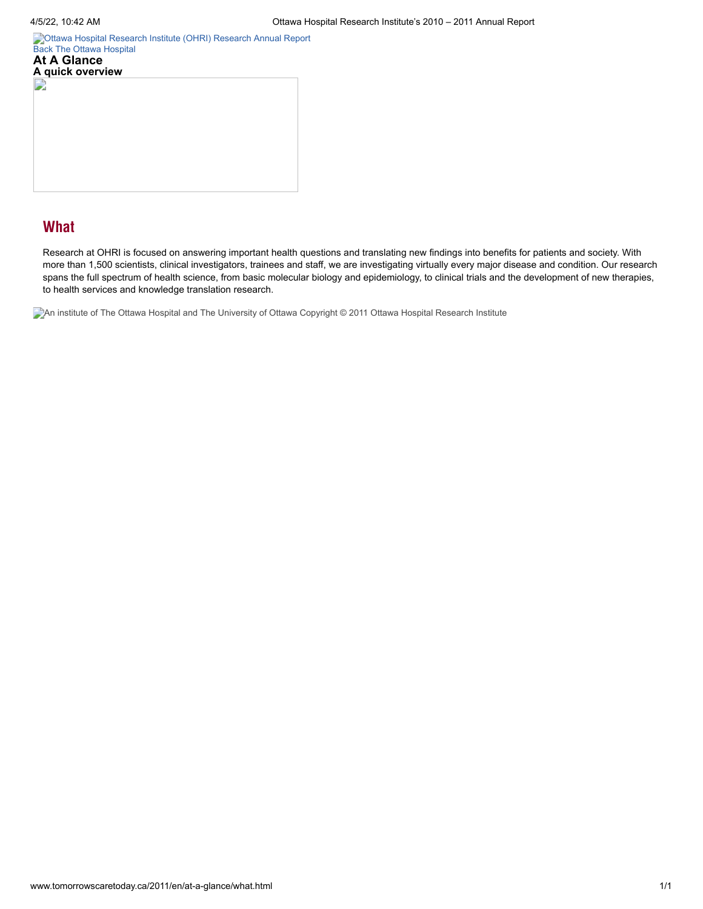**A quick overview**

[Ottawa Hospital Research Institute \(OHRI\)](http://www.tomorrowscaretoday.ca/2011/en/) [Research Annual Report](http://www.worldclasscare.ca/) [Back](http://www.tomorrowscaretoday.ca/2011/en/at-a-glance/mobile.html) [The Ottawa Hospital](http://www.tomorrowscaretoday.ca/2011/en/) **At A Glance**

# **What**

Research at OHRI is focused on answering important health questions and translating new findings into benefits for patients and society. With more than 1,500 scientists, clinical investigators, trainees and staff, we are investigating virtually every major disease and condition. Our research spans the full spectrum of health science, from basic molecular biology and epidemiology, to clinical trials and the development of new therapies, to health services and knowledge translation research.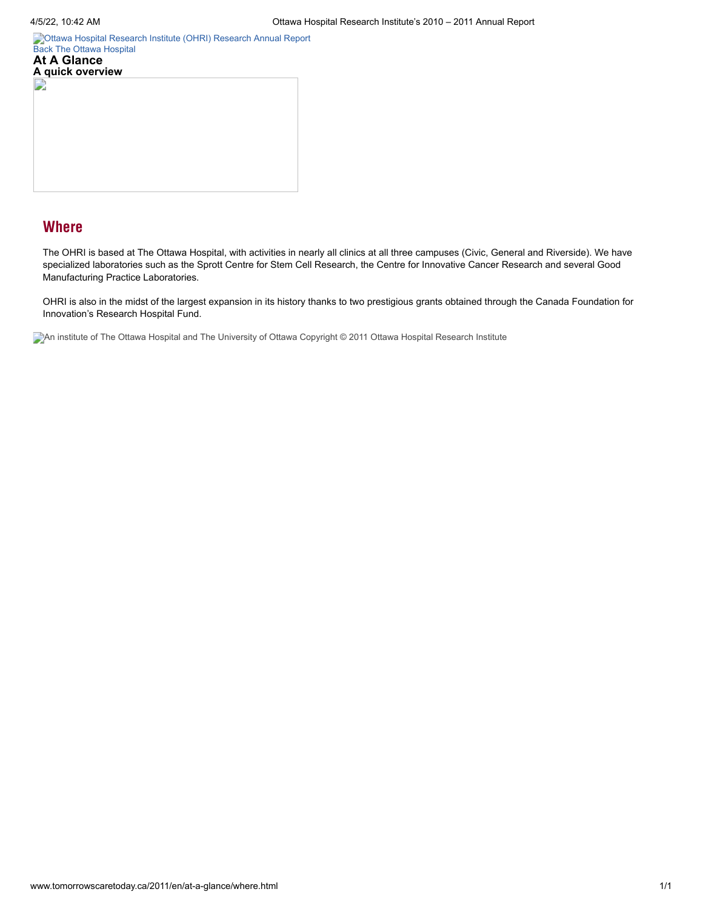**A quick overview**

[Ottawa Hospital Research Institute \(OHRI\)](http://www.tomorrowscaretoday.ca/2011/en/) [Research Annual Report](http://www.worldclasscare.ca/) [Back](http://www.tomorrowscaretoday.ca/2011/en/at-a-glance/mobile.html) [The Ottawa Hospital](http://www.tomorrowscaretoday.ca/2011/en/) **At A Glance**

# **Where**

The OHRI is based at The Ottawa Hospital, with activities in nearly all clinics at all three campuses (Civic, General and Riverside). We have specialized laboratories such as the Sprott Centre for Stem Cell Research, the Centre for Innovative Cancer Research and several Good Manufacturing Practice Laboratories.

OHRI is also in the midst of the largest expansion in its history thanks to two prestigious grants obtained through the Canada Foundation for Innovation's Research Hospital Fund.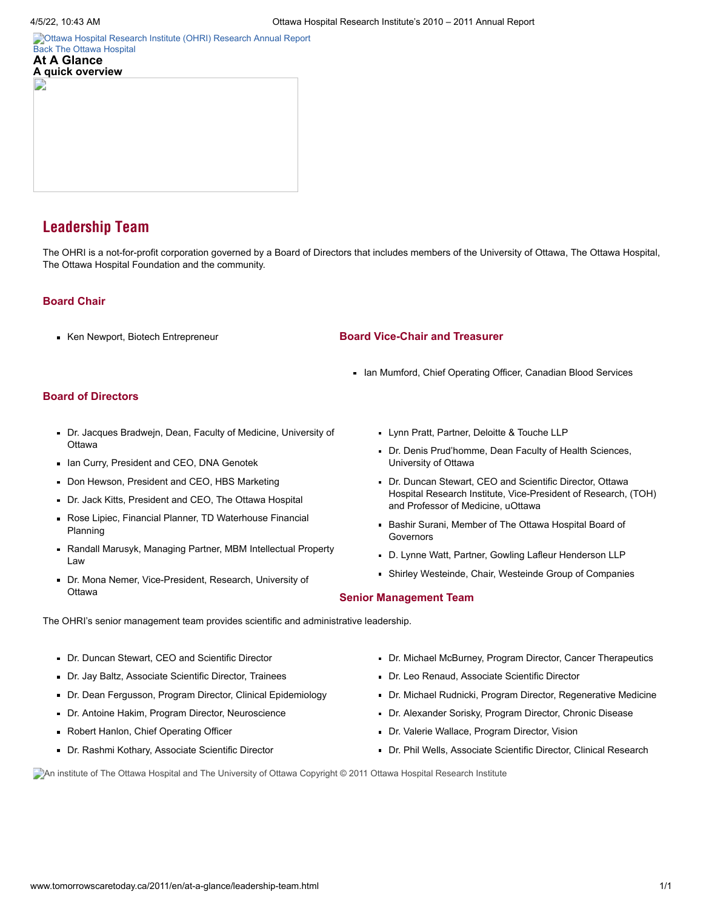E

**A quick overview**

[Ottawa Hospital Research Institute \(OHRI\)](http://www.tomorrowscaretoday.ca/2011/en/) [Research Annual Report](http://www.worldclasscare.ca/) [Back](http://www.tomorrowscaretoday.ca/2011/en/at-a-glance/mobile.html) [The Ottawa Hospital](http://www.tomorrowscaretoday.ca/2011/en/) **At A Glance**

# Leadership Team

The OHRI is a not-for-profit corporation governed by a Board of Directors that includes members of the University of Ottawa, The Ottawa Hospital, The Ottawa Hospital Foundation and the community.

## **Board Chair**

Ken Newport, Biotech Entrepreneur

## **Board Vice-Chair and Treasurer**

In Mumford, Chief Operating Officer, Canadian Blood Services

# **Board of Directors**

- Dr. Jacques Bradwejn, Dean, Faculty of Medicine, University of **Ottawa**
- In Curry, President and CEO, DNA Genotek
- Don Hewson, President and CEO, HBS Marketing
- Dr. Jack Kitts, President and CEO, The Ottawa Hospital
- Rose Lipiec, Financial Planner, TD Waterhouse Financial Planning
- Randall Marusyk, Managing Partner, MBM Intellectual Property Law
- Dr. Mona Nemer, Vice-President, Research, University of **Ottawa**
- **Lynn Pratt, Partner, Deloitte & Touche LLP**
- Dr. Denis Prud'homme, Dean Faculty of Health Sciences, University of Ottawa
- Dr. Duncan Stewart, CEO and Scientific Director, Ottawa Hospital Research Institute, Vice-President of Research, (TOH) and Professor of Medicine, uOttawa
- **Bashir Surani, Member of The Ottawa Hospital Board of** Governors
- D. Lynne Watt, Partner, Gowling Lafleur Henderson LLP
- Shirley Westeinde, Chair, Westeinde Group of Companies

#### **Senior Management Team**

The OHRI's senior management team provides scientific and administrative leadership.

- Dr. Duncan Stewart, CEO and Scientific Director
- Dr. Jay Baltz, Associate Scientific Director, Trainees
- Dr. Dean Fergusson, Program Director, Clinical Epidemiology
- Dr. Antoine Hakim, Program Director, Neuroscience
- Robert Hanlon, Chief Operating Officer
- Dr. Rashmi Kothary, Associate Scientific Director
- Dr. Michael McBurney, Program Director, Cancer Therapeutics
- Dr. Leo Renaud, Associate Scientific Director
- Dr. Michael Rudnicki, Program Director, Regenerative Medicine
- Dr. Alexander Sorisky, Program Director, Chronic Disease
- Dr. Valerie Wallace, Program Director, Vision
- Dr. Phil Wells, Associate Scientific Director, Clinical Research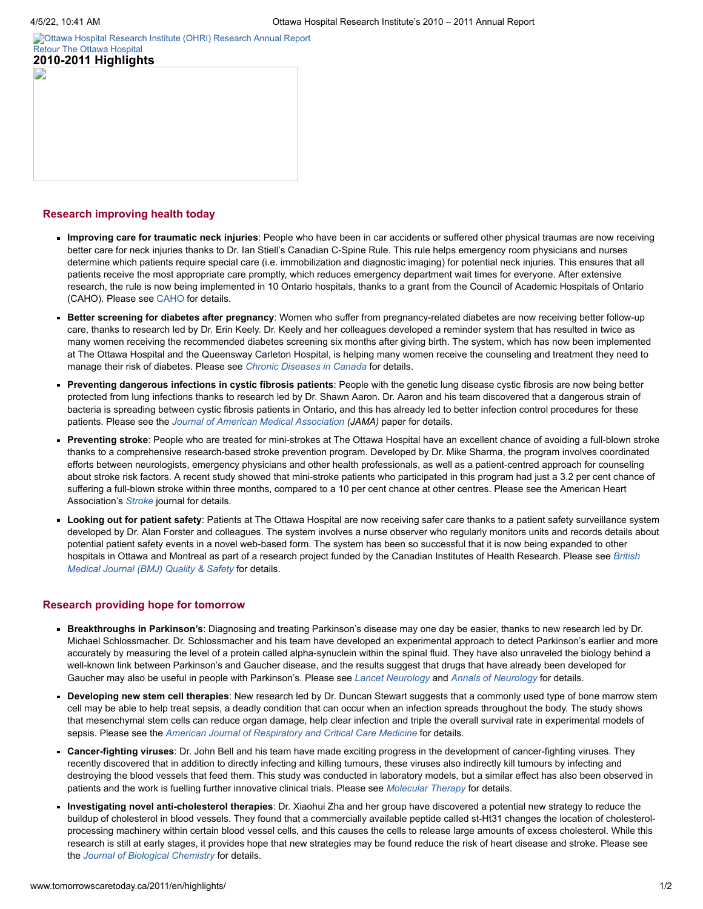L)

[Ottawa Hospital Research Institute \(OHRI\)](http://www.tomorrowscaretoday.ca/2011/en/) [Research Annual Report](http://www.worldclasscare.ca/) [Retour](http://www.tomorrowscaretoday.ca/2011/en/) [The Ottawa Hospital](http://www.tomorrowscaretoday.ca/2011/en/) **2010-2011 Highlights**

#### **Research improving health today**

- **Improving care for traumatic neck injuries**: People who have been in car accidents or suffered other physical traumas are now receiving better care for neck injuries thanks to Dr. Ian Stiell's Canadian C-Spine Rule. This rule helps emergency room physicians and nurses determine which patients require special care (i.e. immobilization and diagnostic imaging) for potential neck injuries. This ensures that all patients receive the most appropriate care promptly, which reduces emergency department wait times for everyone. After extensive research, the rule is now being implemented in 10 Ontario hospitals, thanks to a grant from the Council of Academic Hospitals of Ontario (CAHO). Please see [CAHO](http://www.caho-hospitals.com/what-we-do/artic/canadian-c-spine-rule/) for details.
- **Better screening for diabetes after pregnancy**: Women who suffer from pregnancy-related diabetes are now receiving better follow-up care, thanks to research led by Dr. Erin Keely. Dr. Keely and her colleagues developed a reminder system that has resulted in twice as many women receiving the recommended diabetes screening six months after giving birth. The system, which has now been implemented at The Ottawa Hospital and the Queensway Carleton Hospital, is helping many women receive the counseling and treatment they need to manage their risk of diabetes. Please see *Chronic [Diseases](http://www.phac-aspc.gc.ca/publicat/cdic-mcc/31-2/ar-02-eng.php) in Canada* for details.
- **Preventing dangerous infections in cystic fibrosis patients**: People with the genetic lung disease cystic fibrosis are now being better protected from lung infections thanks to research led by Dr. Shawn Aaron. Dr. Aaron and his team discovered that a dangerous strain of bacteria is spreading between cystic fibrosis patients in Ontario, and this has already led to better infection control procedures for these patients. Please see the *Journal of American Medical [Association](http://jama.ama-assn.org/cgi/content/abstract/304/19/2145?maxtoshow=&hits=10&RESULTFORMAT=&fulltext=cystic+fibrosis&searchid=1&FIRSTINDEX=0&resourcetype=HWCIT) (JAMA)* paper for details.
- **Preventing stroke**: People who are treated for mini-strokes at The Ottawa Hospital have an excellent chance of avoiding a full-blown stroke thanks to a comprehensive research-based stroke prevention program. Developed by Dr. Mike Sharma, the program involves coordinated efforts between neurologists, emergency physicians and other health professionals, as well as a patient-centred approach for counseling about stroke risk factors. A recent study showed that mini-stroke patients who participated in this program had just a 3.2 per cent chance of suffering a full-blown stroke within three months, compared to a 10 per cent chance at other centres. Please see the American Heart Association's *[Stroke](http://stroke.ahajournals.org/cgi/content/abstract/41/11/2601)* journal for details.
- **Looking out for patient safety**: Patients at The Ottawa Hospital are now receiving safer care thanks to a patient safety surveillance system developed by Dr. Alan Forster and colleagues. The system involves a nurse observer who regularly monitors units and records details about potential patient safety events in a novel web-based form. The system has been so successful that it is now being expanded to other hospitals in Ottawa and Montreal as part of a research project funded by the Canadian Institutes of Health [Research.](http://qualitysafety.bmj.com/content/early/2011/03/01/bmjqs.2010.048694.abstract) Please see *British Medical Journal (BMJ) Quality & Safety* for details.

#### **Research providing hope for tomorrow**

- **Breakthroughs in Parkinson's**: Diagnosing and treating Parkinson's disease may one day be easier, thanks to new research led by Dr. Michael Schlossmacher. Dr. Schlossmacher and his team have developed an experimental approach to detect Parkinson's earlier and more accurately by measuring the level of a protein called alpha-synuclein within the spinal fluid. They have also unraveled the biology behind a well-known link between Parkinson's and Gaucher disease, and the results suggest that drugs that have already been developed for Gaucher may also be useful in people with Parkinson's. Please see *Lancet [Neurology](http://www.thelancet.com/journals/laneur/article/PIIS1474-4422%2811%2970014-X/abstract)* and *Annals of [Neurology](http://onlinelibrary.wiley.com/doi/10.1002/ana.22400/abstract)* for details.
- **Developing new stem cell therapies**: New research led by Dr. Duncan Stewart suggests that a commonly used type of bone marrow stem cell may be able to help treat sepsis, a deadly condition that can occur when an infection spreads throughout the body. The study shows that mesenchymal stem cells can reduce organ damage, help clear infection and triple the overall survival rate in experimental models of sepsis. Please see the *American Journal of [Respiratory](http://ajrccm.atsjournals.org/cgi/content/abstract/182/8/1047?maxtoshow=&hits=10&RESULTFORMAT=&author1=stewart+d&searchid=1&FIRSTINDEX=0&fdate=1/1/2010&resourcetype=HWCIT) and Critical Care Medicine* for details.
- **Cancer-fighting viruses**: Dr. John Bell and his team have made exciting progress in the development of cancer-fighting viruses. They recently discovered that in addition to directly infecting and killing tumours, these viruses also indirectly kill tumours by infecting and destroying the blood vessels that feed them. This study was conducted in laboratory models, but a similar effect has also been observed in patients and the work is fuelling further innovative clinical trials. Please see *[Molecular](http://www.nature.com/mt/journal/vaop/ncurrent/abs/mt201126a.html) Therapy* for details.
- **Investigating novel anti-cholesterol therapies**: Dr. Xiaohui Zha and her group have discovered a potential new strategy to reduce the buildup of cholesterol in blood vessels. They found that a commercially available peptide called st-Ht31 changes the location of cholesterolprocessing machinery within certain blood vessel cells, and this causes the cells to release large amounts of excess cholesterol. While this research is still at early stages, it provides hope that new strategies may be found reduce the risk of heart disease and stroke. Please see the *Journal of Biological [Chemistry](http://www.jbc.org/content/early/2010/11/24/jbc.M110.173666.abstract)* for details.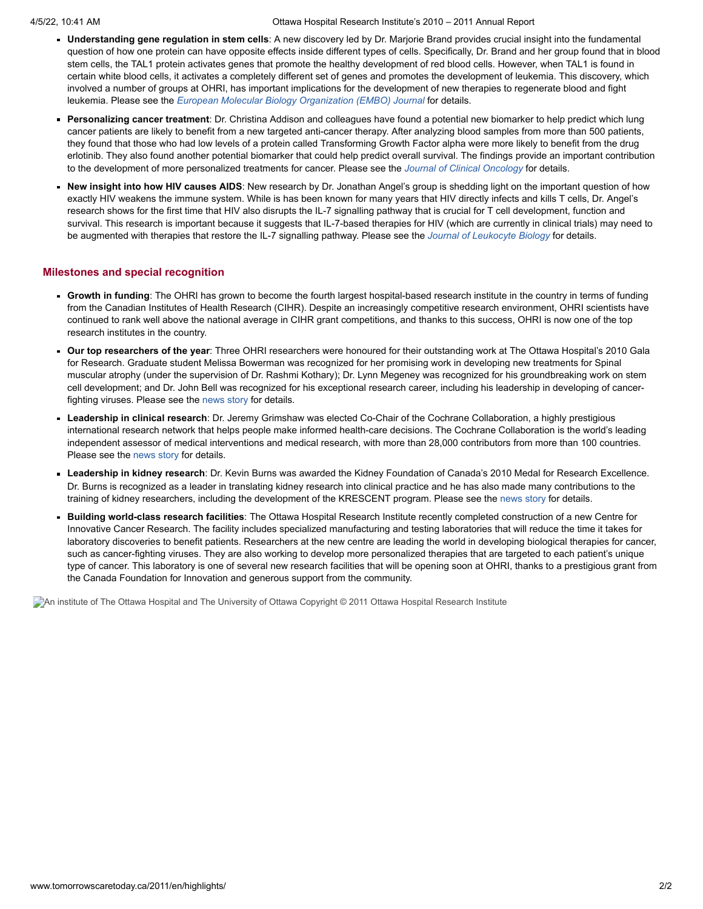- **Understanding gene regulation in stem cells**: A new discovery led by Dr. Marjorie Brand provides crucial insight into the fundamental question of how one protein can have opposite effects inside different types of cells. Specifically, Dr. Brand and her group found that in blood stem cells, the TAL1 protein activates genes that promote the healthy development of red blood cells. However, when TAL1 is found in certain white blood cells, it activates a completely different set of genes and promotes the development of leukemia. This discovery, which involved a number of groups at OHRI, has important implications for the development of new therapies to regenerate blood and fight leukemia. Please see the *European Molecular Biology [Organization](http://www.nature.com/emboj/journal/vaop/ncurrent/abs/emboj2010342a.html) (EMBO) Journal* for details.
- **Personalizing cancer treatment**: Dr. Christina Addison and colleagues have found a potential new biomarker to help predict which lung cancer patients are likely to benefit from a new targeted anti-cancer therapy. After analyzing blood samples from more than 500 patients, they found that those who had low levels of a protein called Transforming Growth Factor alpha were more likely to benefit from the drug erlotinib. They also found another potential biomarker that could help predict overall survival. The findings provide an important contribution to the development of more personalized treatments for cancer. Please see the *Journal of Clinical [Oncology](http://jco.ascopubs.org/content/28/36/5247.abstract)* for details.
- **New insight into how HIV causes AIDS**: New research by Dr. Jonathan Angel's group is shedding light on the important question of how exactly HIV weakens the immune system. While is has been known for many years that HIV directly infects and kills T cells, Dr. Angel's research shows for the first time that HIV also disrupts the IL-7 signalling pathway that is crucial for T cell development, function and survival. This research is important because it suggests that IL-7-based therapies for HIV (which are currently in clinical trials) may need to be augmented with therapies that restore the IL-7 signalling pathway. Please see the *Journal of [Leukocyte](http://www.jleukbio.org/content/89/4/499.abstract) Biology* for details.

#### **Milestones and special recognition**

- **Growth in funding**: The OHRI has grown to become the fourth largest hospital-based research institute in the country in terms of funding from the Canadian Institutes of Health Research (CIHR). Despite an increasingly competitive research environment, OHRI scientists have continued to rank well above the national average in CIHR grant competitions, and thanks to this success, OHRI is now one of the top research institutes in the country.
- **Our top researchers of the year**: Three OHRI researchers were honoured for their outstanding work at The Ottawa Hospital's 2010 Gala for Research. Graduate student Melissa Bowerman was recognized for her promising work in developing new treatments for Spinal muscular atrophy (under the supervision of Dr. Rashmi Kothary); Dr. Lynn Megeney was recognized for his groundbreaking work on stem cell development; and Dr. John Bell was recognized for his exceptional research career, including his leadership in developing of cancerfighting viruses. Please see the [news](http://www.ohri.ca/newsroom/newsstory.asp?ID=235) story for details.
- **Leadership in clinical research**: Dr. Jeremy Grimshaw was elected Co-Chair of the Cochrane Collaboration, a highly prestigious international research network that helps people make informed health-care decisions. The Cochrane Collaboration is the world's leading independent assessor of medical interventions and medical research, with more than 28,000 contributors from more than 100 countries. Please see the [news](http://www.ohri.ca/newsroom/newsstory.asp?ID=244) story for details.
- **Leadership in kidney research**: Dr. Kevin Burns was awarded the Kidney Foundation of Canada's 2010 Medal for Research Excellence. Dr. Burns is recognized as a leader in translating kidney research into clinical practice and he has also made many contributions to the training of kidney researchers, including the development of the KRESCENT program. Please see the [news](http://www.kidney.ca/Page.aspx?pid=1712) story for details.
- **Building world-class research facilities**: The Ottawa Hospital Research Institute recently completed construction of a new Centre for  $\blacksquare$ Innovative Cancer Research. The facility includes specialized manufacturing and testing laboratories that will reduce the time it takes for laboratory discoveries to benefit patients. Researchers at the new centre are leading the world in developing biological therapies for cancer, such as cancer-fighting viruses. They are also working to develop more personalized therapies that are targeted to each patient's unique type of cancer. This laboratory is one of several new research facilities that will be opening soon at OHRI, thanks to a prestigious grant from the Canada Foundation for Innovation and generous support from the community.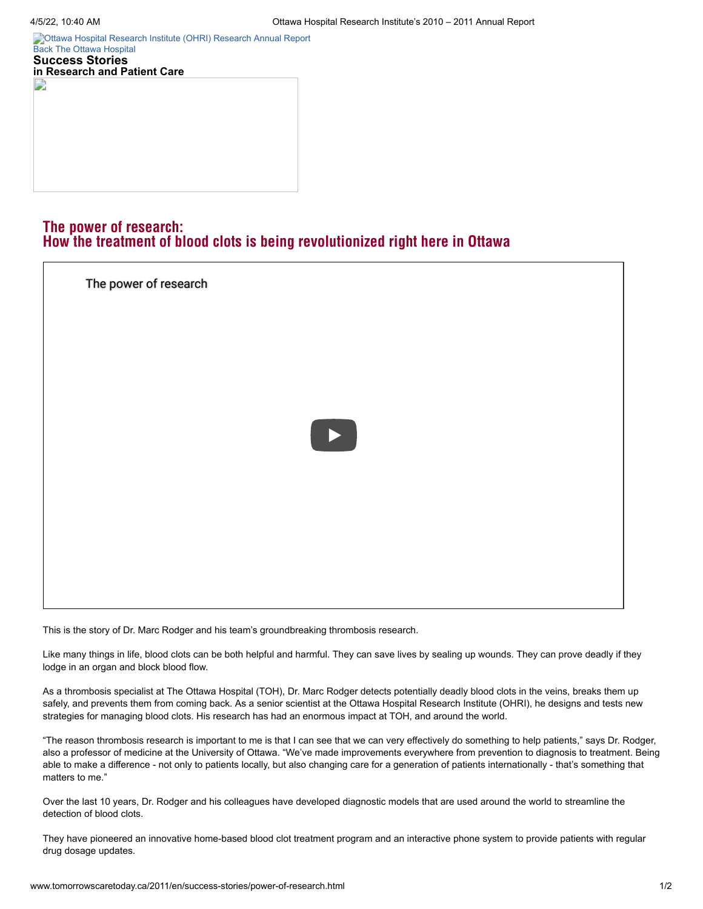E

[Ottawa Hospital Research Institute \(OHRI\)](http://www.tomorrowscaretoday.ca/2011/en/) [Research Annual Report](http://www.worldclasscare.ca/) [Back](http://www.tomorrowscaretoday.ca/2011/en/success-stories/mobile.html) [The Ottawa Hospital](http://www.tomorrowscaretoday.ca/2011/en/) **Success Stories in Research and Patient Care**

# The power of research: How the treatment of blood clots is being revolutionized right here in Ottawa



This is the story of Dr. Marc Rodger and his team's groundbreaking thrombosis research.

Like many things in life, blood clots can be both helpful and harmful. They can save lives by sealing up wounds. They can prove deadly if they lodge in an organ and block blood flow.

As a thrombosis specialist at The Ottawa Hospital (TOH), Dr. Marc Rodger detects potentially deadly blood clots in the veins, breaks them up safely, and prevents them from coming back. As a senior scientist at the Ottawa Hospital Research Institute (OHRI), he designs and tests new strategies for managing blood clots. His research has had an enormous impact at TOH, and around the world.

"The reason thrombosis research is important to me is that I can see that we can very effectively do something to help patients," says Dr. Rodger, also a professor of medicine at the University of Ottawa. "We've made improvements everywhere from prevention to diagnosis to treatment. Being able to make a difference - not only to patients locally, but also changing care for a generation of patients internationally - that's something that matters to me."

Over the last 10 years, Dr. Rodger and his colleagues have developed diagnostic models that are used around the world to streamline the detection of blood clots.

They have pioneered an innovative home-based blood clot treatment program and an interactive phone system to provide patients with regular drug dosage updates.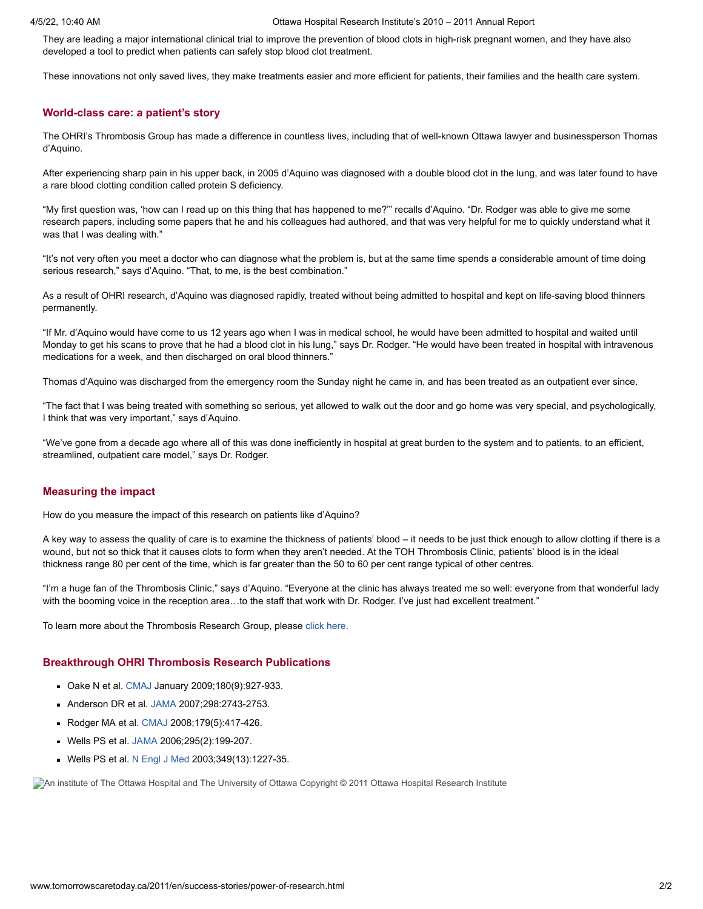They are leading a major international clinical trial to improve the prevention of blood clots in high-risk pregnant women, and they have also developed a tool to predict when patients can safely stop blood clot treatment.

These innovations not only saved lives, they make treatments easier and more efficient for patients, their families and the health care system.

#### **World-class care: a patient's story**

The OHRI's Thrombosis Group has made a difference in countless lives, including that of well-known Ottawa lawyer and businessperson Thomas d'Aquino.

After experiencing sharp pain in his upper back, in 2005 d'Aquino was diagnosed with a double blood clot in the lung, and was later found to have a rare blood clotting condition called protein S deficiency.

"My first question was, 'how can I read up on this thing that has happened to me?'" recalls d'Aquino. "Dr. Rodger was able to give me some research papers, including some papers that he and his colleagues had authored, and that was very helpful for me to quickly understand what it was that I was dealing with."

"It's not very often you meet a doctor who can diagnose what the problem is, but at the same time spends a considerable amount of time doing serious research," says d'Aquino. "That, to me, is the best combination."

As a result of OHRI research, d'Aquino was diagnosed rapidly, treated without being admitted to hospital and kept on life-saving blood thinners permanently.

"If Mr. d'Aquino would have come to us 12 years ago when I was in medical school, he would have been admitted to hospital and waited until Monday to get his scans to prove that he had a blood clot in his lung," says Dr. Rodger. "He would have been treated in hospital with intravenous medications for a week, and then discharged on oral blood thinners."

Thomas d'Aquino was discharged from the emergency room the Sunday night he came in, and has been treated as an outpatient ever since.

"The fact that I was being treated with something so serious, yet allowed to walk out the door and go home was very special, and psychologically, I think that was very important," says d'Aquino.

"We've gone from a decade ago where all of this was done inefficiently in hospital at great burden to the system and to patients, to an efficient, streamlined, outpatient care model," says Dr. Rodger.

### **Measuring the impact**

How do you measure the impact of this research on patients like d'Aquino?

A key way to assess the quality of care is to examine the thickness of patients' blood – it needs to be just thick enough to allow clotting if there is a wound, but not so thick that it causes clots to form when they aren't needed. At the TOH Thrombosis Clinic, patients' blood is in the ideal thickness range 80 per cent of the time, which is far greater than the 50 to 60 per cent range typical of other centres.

"I'm a huge fan of the Thrombosis Clinic," says d'Aquino. "Everyone at the clinic has always treated me so well: everyone from that wonderful lady with the booming voice in the reception area...to the staff that work with Dr. Rodger. I've just had excellent treatment."

To learn more about the Thrombosis Research Group, please click [here](http://www.ohri.ca/programs/clinical_epidemiology/Thrombosis_Group/default.asp).

#### **Breakthrough OHRI Thrombosis Research Publications**

- Oake N et al. [CMAJ](http://www.cmaj.ca/cgi/content/abstract/180/9/927) January 2009;180(9):927-933.
- Anderson DR et al. [JAMA](http://jama.ama-assn.org/content/298/23/2743.abstract?sid=f42e383a-b914-40e1-9dfd-c575eb245fb0) 2007;298:2743-2753.
- Rodger MA et al. [CMAJ](http://www.cmaj.ca/cgi/content/full/179/5/417) 2008;179(5):417-426.
- Wells PS et al. [JAMA](http://jama.ama-assn.org/content/295/2/199.abstract?sid=b16d3841-5755-4266-affd-ef04d22c33a1) 2006;295(2):199-207.
- Wells PS et al. N [Engl](http://www.nejm.org/doi/full/10.1056/NEJMoa023153) J Med 2003;349(13):1227-35.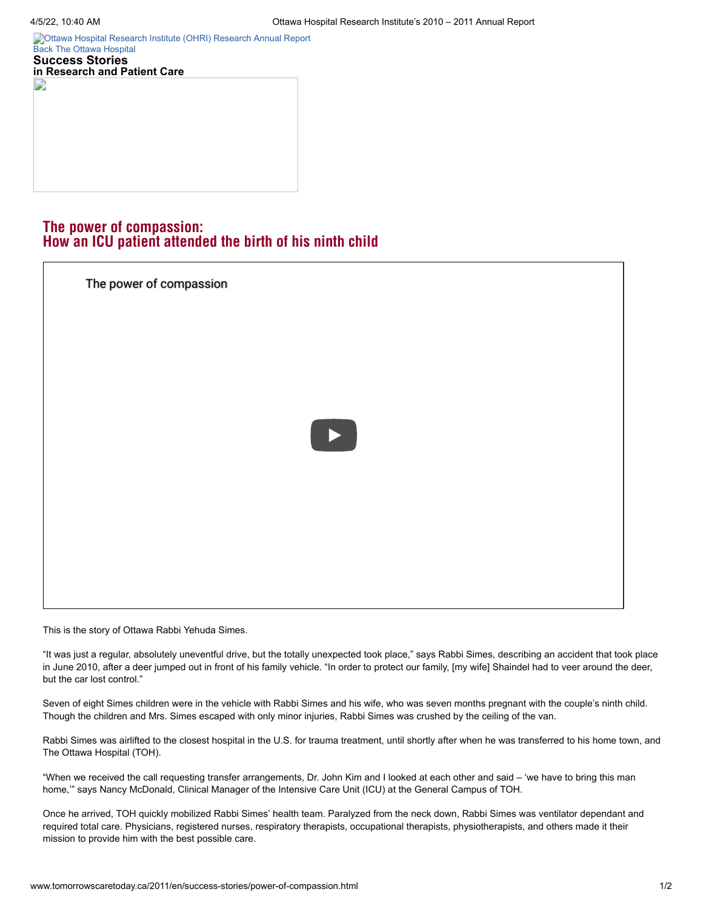[Ottawa Hospital Research Institute \(OHRI\)](http://www.tomorrowscaretoday.ca/2011/en/) [Research Annual Report](http://www.worldclasscare.ca/) [Back](http://www.tomorrowscaretoday.ca/2011/en/success-stories/mobile.html) [The Ottawa Hospital](http://www.tomorrowscaretoday.ca/2011/en/) **Success Stories in Research and Patient Care**

# The power of compassion: How an ICU patient attended the birth of his ninth child

| The power of compassion |                                                                                                                                               |  |
|-------------------------|-----------------------------------------------------------------------------------------------------------------------------------------------|--|
|                         |                                                                                                                                               |  |
|                         |                                                                                                                                               |  |
|                         | $\begin{array}{ c c } \hline \quad \quad & \quad \quad & \quad \quad \\ \hline \quad \quad & \quad \quad & \quad \quad \\ \hline \end{array}$ |  |
|                         |                                                                                                                                               |  |
|                         |                                                                                                                                               |  |
|                         |                                                                                                                                               |  |

This is the story of Ottawa Rabbi Yehuda Simes.

"It was just a regular, absolutely uneventful drive, but the totally unexpected took place," says Rabbi Simes, describing an accident that took place in June 2010, after a deer jumped out in front of his family vehicle. "In order to protect our family, [my wife] Shaindel had to veer around the deer, but the car lost control."

Seven of eight Simes children were in the vehicle with Rabbi Simes and his wife, who was seven months pregnant with the couple's ninth child. Though the children and Mrs. Simes escaped with only minor injuries, Rabbi Simes was crushed by the ceiling of the van.

Rabbi Simes was airlifted to the closest hospital in the U.S. for trauma treatment, until shortly after when he was transferred to his home town, and The Ottawa Hospital (TOH).

"When we received the call requesting transfer arrangements, Dr. John Kim and I looked at each other and said – 'we have to bring this man home,'" says Nancy McDonald, Clinical Manager of the Intensive Care Unit (ICU) at the General Campus of TOH.

Once he arrived, TOH quickly mobilized Rabbi Simes' health team. Paralyzed from the neck down, Rabbi Simes was ventilator dependant and required total care. Physicians, registered nurses, respiratory therapists, occupational therapists, physiotherapists, and others made it their mission to provide him with the best possible care.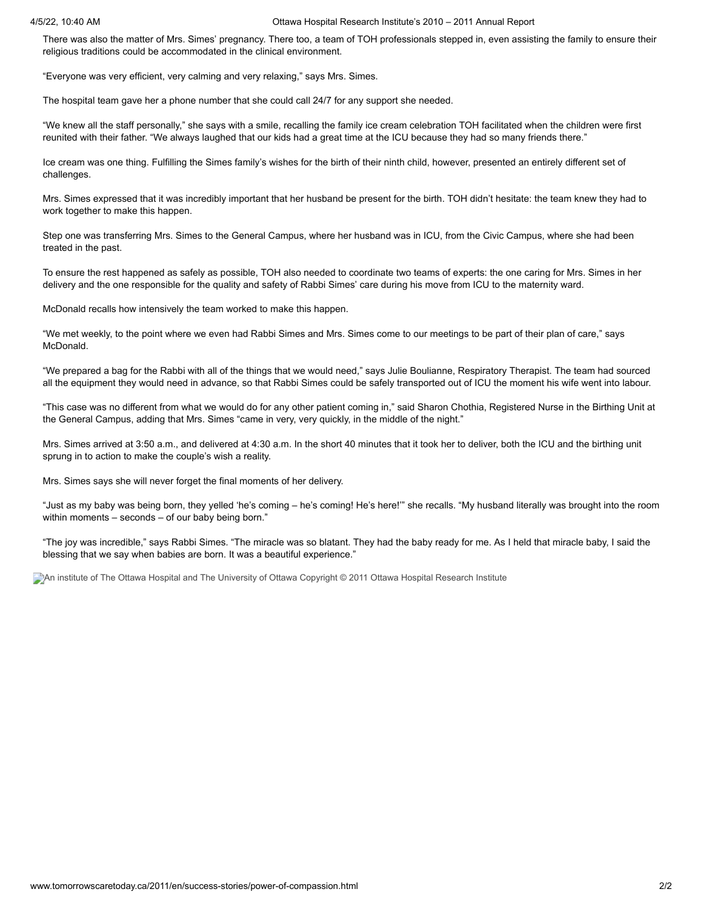#### 4/5/22, 10:40 AM Ottawa Hospital Research Institute's 2010 – 2011 Annual Report

There was also the matter of Mrs. Simes' pregnancy. There too, a team of TOH professionals stepped in, even assisting the family to ensure their religious traditions could be accommodated in the clinical environment.

"Everyone was very efficient, very calming and very relaxing," says Mrs. Simes.

The hospital team gave her a phone number that she could call 24/7 for any support she needed.

"We knew all the staff personally," she says with a smile, recalling the family ice cream celebration TOH facilitated when the children were first reunited with their father. "We always laughed that our kids had a great time at the ICU because they had so many friends there."

Ice cream was one thing. Fulfilling the Simes family's wishes for the birth of their ninth child, however, presented an entirely different set of challenges.

Mrs. Simes expressed that it was incredibly important that her husband be present for the birth. TOH didn't hesitate: the team knew they had to work together to make this happen.

Step one was transferring Mrs. Simes to the General Campus, where her husband was in ICU, from the Civic Campus, where she had been treated in the past.

To ensure the rest happened as safely as possible, TOH also needed to coordinate two teams of experts: the one caring for Mrs. Simes in her delivery and the one responsible for the quality and safety of Rabbi Simes' care during his move from ICU to the maternity ward.

McDonald recalls how intensively the team worked to make this happen.

"We met weekly, to the point where we even had Rabbi Simes and Mrs. Simes come to our meetings to be part of their plan of care," says McDonald.

"We prepared a bag for the Rabbi with all of the things that we would need," says Julie Boulianne, Respiratory Therapist. The team had sourced all the equipment they would need in advance, so that Rabbi Simes could be safely transported out of ICU the moment his wife went into labour.

"This case was no different from what we would do for any other patient coming in," said Sharon Chothia, Registered Nurse in the Birthing Unit at the General Campus, adding that Mrs. Simes "came in very, very quickly, in the middle of the night."

Mrs. Simes arrived at 3:50 a.m., and delivered at 4:30 a.m. In the short 40 minutes that it took her to deliver, both the ICU and the birthing unit sprung in to action to make the couple's wish a reality.

Mrs. Simes says she will never forget the final moments of her delivery.

"Just as my baby was being born, they yelled 'he's coming – he's coming! He's here!'" she recalls. "My husband literally was brought into the room within moments – seconds – of our baby being born."

"The joy was incredible," says Rabbi Simes. "The miracle was so blatant. They had the baby ready for me. As I held that miracle baby, I said the blessing that we say when babies are born. It was a beautiful experience."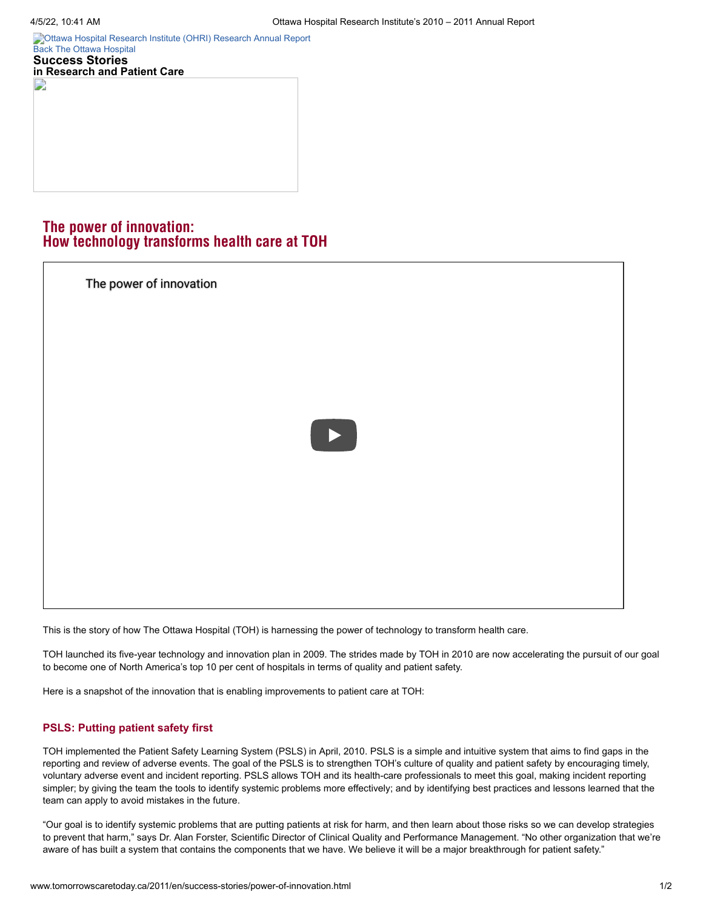E

[Ottawa Hospital Research Institute \(OHRI\)](http://www.tomorrowscaretoday.ca/2011/en/) [Research Annual Report](http://www.worldclasscare.ca/) [Back](http://www.tomorrowscaretoday.ca/2011/en/success-stories/mobile.html) [The Ottawa Hospital](http://www.tomorrowscaretoday.ca/2011/en/) **Success Stories in Research and Patient Care**

# The power of innovation: How technology transforms health care at TOH

| The power of innovation |                       |  |
|-------------------------|-----------------------|--|
|                         |                       |  |
|                         |                       |  |
|                         | $\blacktriangleright$ |  |
|                         |                       |  |
|                         |                       |  |
|                         |                       |  |

This is the story of how The Ottawa Hospital (TOH) is harnessing the power of technology to transform health care.

TOH launched its five-year technology and innovation plan in 2009. The strides made by TOH in 2010 are now accelerating the pursuit of our goal to become one of North America's top 10 per cent of hospitals in terms of quality and patient safety.

Here is a snapshot of the innovation that is enabling improvements to patient care at TOH:

# **PSLS: Putting patient safety first**

TOH implemented the Patient Safety Learning System (PSLS) in April, 2010. PSLS is a simple and intuitive system that aims to find gaps in the reporting and review of adverse events. The goal of the PSLS is to strengthen TOH's culture of quality and patient safety by encouraging timely, voluntary adverse event and incident reporting. PSLS allows TOH and its health-care professionals to meet this goal, making incident reporting simpler; by giving the team the tools to identify systemic problems more effectively; and by identifying best practices and lessons learned that the team can apply to avoid mistakes in the future.

"Our goal is to identify systemic problems that are putting patients at risk for harm, and then learn about those risks so we can develop strategies to prevent that harm," says Dr. Alan Forster, Scientific Director of Clinical Quality and Performance Management. "No other organization that we're aware of has built a system that contains the components that we have. We believe it will be a major breakthrough for patient safety."